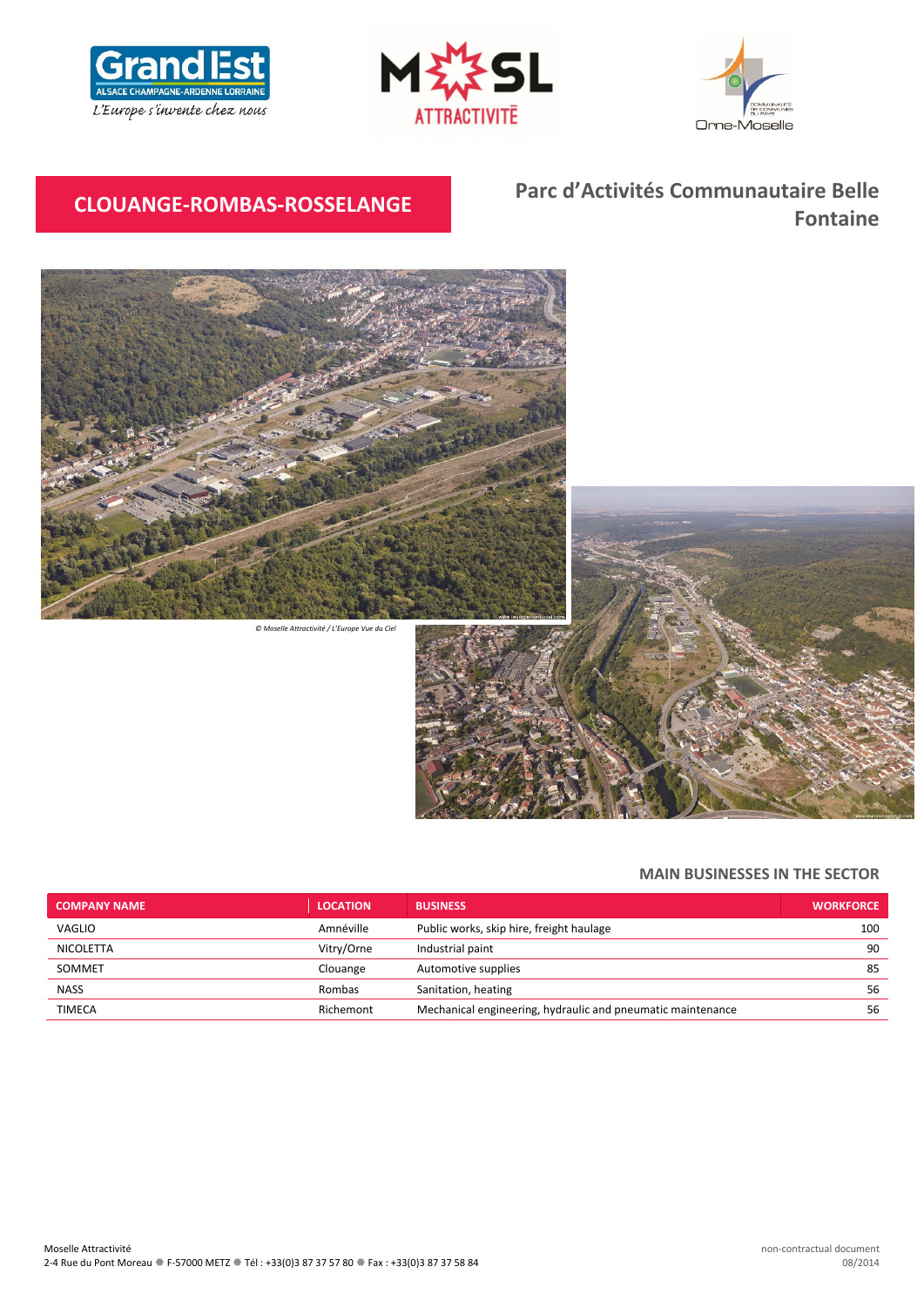





# **CLOUANGE‐ROMBAS‐ROSSELANGE Parc d'Activités Communautaire Belle Fontaine**



*© Moselle Attractivité / L'Europe Vue du Ciel*



# **MAIN BUSINESSES IN THE SECTOR**

| <b>COMPANY NAME</b> | <b>LOCATION</b> | <b>BUSINESS</b>                                             | <b>WORKFORCE</b> |
|---------------------|-----------------|-------------------------------------------------------------|------------------|
| VAGLIO              | Amnéville       | Public works, skip hire, freight haulage                    | 100              |
| NICOLETTA           | Vitry/Orne      | Industrial paint                                            | 90               |
| SOMMET              | Clouange        | Automotive supplies                                         | 85               |
| <b>NASS</b>         | Rombas          | Sanitation, heating                                         | 56               |
| TIMECA              | Richemont       | Mechanical engineering, hydraulic and pneumatic maintenance | 56               |